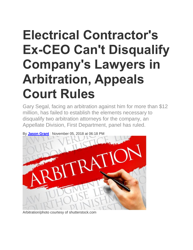## **Electrical Contractor's Ex-CEO Can't Disqualify Company's Lawyers in Arbitration, Appeals Court Rules**

Gary Segal, facing an arbitration against him for more than \$12 million, has failed to establish the elements necessary to disqualify two arbitration attorneys for the company, an Appellate Division, First Department, panel has ruled.



By **[Jason Grant](https://www.law.com/author/profile/Jason-Grant/)** | November 05, 2018 at 06:18 PM

Arbitration/photo courtesy of shutterstock.com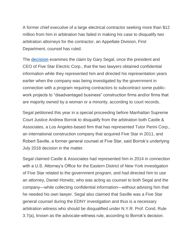A former chief executive of a large electrical contractor seeking more than \$12 million from him in arbitration has failed in making his case to disqualify two arbitration attorneys for the contractor, an Appellate Division, First Department, counsel has ruled.

The **[decision](http://www.nycourts.gov/reporter/3dseries/2018/2018_07277.htm)** examines the claim by Gary Segal, once the president and CEO of Five Star Electric Corp., that the two lawyers obtained confidential information while they represented him and directed his representation years earlier when the company was being investigated by the government in connection with a program requiring contractors to subcontract some publicwork projects to "disadvantaged business" construction firms and/or firms that are majority owned by a woman or a minority, according to court records.

Segal petitioned this year in a special proceeding before Manhattan Supreme Court Justice Andrew Borrok to disqualify from the arbitration both Castle & Associates, a Los Angeles-based firm that has represented Tutor Perini Corp., an international construction company that acquired Five Star in 2011, and Robert Saville, a former general counsel at Five Star, said Borrok's underlying July 2018 decision in the matter.

Segal claimed Castle & Associates had represented him in 2014 in connection with a U.S. Attorney's Office for the Eastern District of New York investigation of Five Star related to the government program, and had directed him to use an attorney, Daniel Horwitz, who was acting as counsel to both Segal and the company—while collecting confidential information—without advising him that he needed his own lawyer. Segal also claimed that Saville was a Five Star general counsel during the EDNY investigation and thus is a necessary arbitration witness who should be disqualified under N.Y.R. Prof. Cond. Rule 3.7(a), known as the advocate-witness rule, according to Borrok's decision.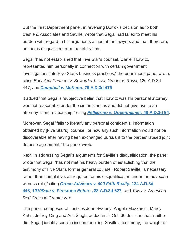But the First Department panel, in reversing Borrok's decision as to both Castle & Associates and Saville, wrote that Segal had failed to meet his burden with regard to his arguments aimed at the lawyers and that, therefore, neither is disqualified from the arbitration.

Segal "has not established that Five Star's counsel, Daniel Horwitz, represented him personally in connection with certain government investigations into Five Star's business practices," the unanimous panel wrote, citing *Eurycleia Partners v. Seward & Kissel*; *Gregor v. Rossi*, 120 A.D.3d 447; and *[Campbell v. McKeo](http://www.nycourts.gov/reporter/3dseries/2010/2010_06148.htm)***n, 75 A.D.3d 479**.

It added that Segal's "subjective belief that Horwitz was his personal attorney was not reasonable under the circumstances and did not give rise to an attorney-client relationship," citing *[Pellegrino v. Oppenheimer](http://www.nycourts.gov/reporter/3dseries/2008/2008_00378.htm)***, 49 A.D.3d 94**.

Moreover, Segal "fails to identify any personal confidential information obtained by [Five Star's] counsel, or how any such information would not be discoverable after having been exchanged pursuant to the parties' lapsed joint defense agreement," the panel wrote.

Next, in addressing Segal's arguments for Saville's disqualification, the panel wrote that Segal "has not met his heavy burden of establishing that the testimony of Five Star's former general counsel, Robert Saville, is necessary rather than cumulative, as required for his disqualification under the advocatewitness rule," citing *[Orbco Advisors v. 400 Fifth Realty](http://www.nycourts.gov/reporter/3dseries/2015/2015_08935.htm)***, 134 A.D.3d [448](http://www.nycourts.gov/reporter/3dseries/2015/2015_08935.htm)**, *[1010Data v. Firestone Enters.](http://www.nycourts.gov/reporter/3dseries/2011/2011_07589.htm)***, 88 A.D.3d 627**, and *Talvy v. American Red Cross in Greater N.Y.*

The panel, composed of Justices John Sweeny, Angela Mazzarelli, Marcy Kahn, Jeffrey Oing and Anil Singh, added in its Oct. 30 decision that "neither did [Segal] identify specific issues requiring Saville's testimony, the weight of